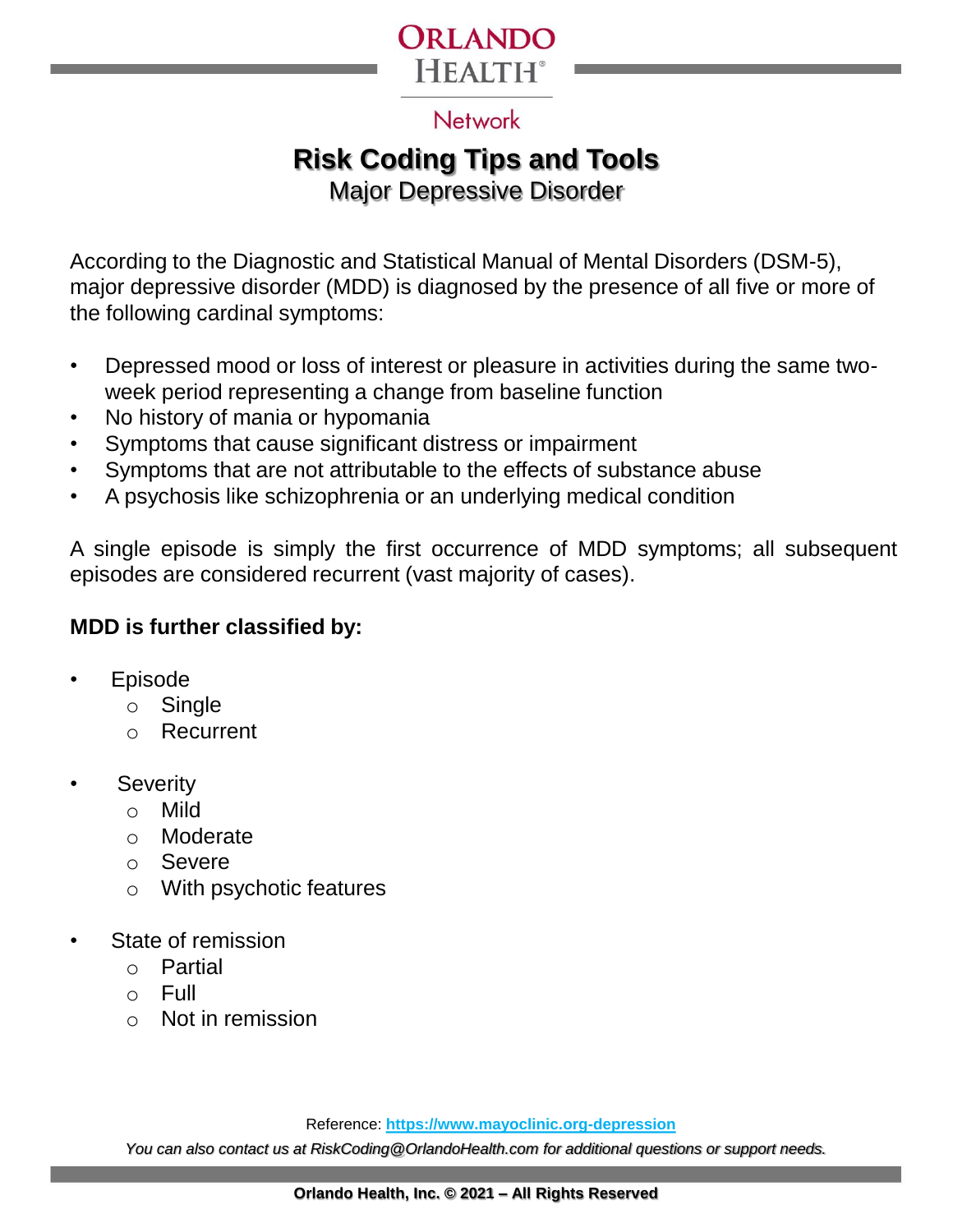

#### **Network**

# **Risk Coding Tips and Tools**

Major Depressive Disorder

According to the Diagnostic and Statistical Manual of Mental Disorders (DSM-5), major depressive disorder (MDD) is diagnosed by the presence of all five or more of the following cardinal symptoms:

- Depressed mood or loss of interest or pleasure in activities during the same twoweek period representing a change from baseline function
- No history of mania or hypomania
- Symptoms that cause significant distress or impairment
- Symptoms that are not attributable to the effects of substance abuse
- A psychosis like schizophrenia or an underlying medical condition

A single episode is simply the first occurrence of MDD symptoms; all subsequent episodes are considered recurrent (vast majority of cases).

#### **MDD is further classified by:**

- **Episode** 
	- o Single
	- $\cap$ Recurrent
- **Severity** 
	- o Mild
	- o Moderate
	- o Severe
	- o With psychotic features
- State of remission
	- o Partial
	- o Full
	- o Not in remission

Reference: **https://www.mayoclinic.org-depression**

*You can also contact us at RiskCoding@OrlandoHealth.com for additional questions or support needs.*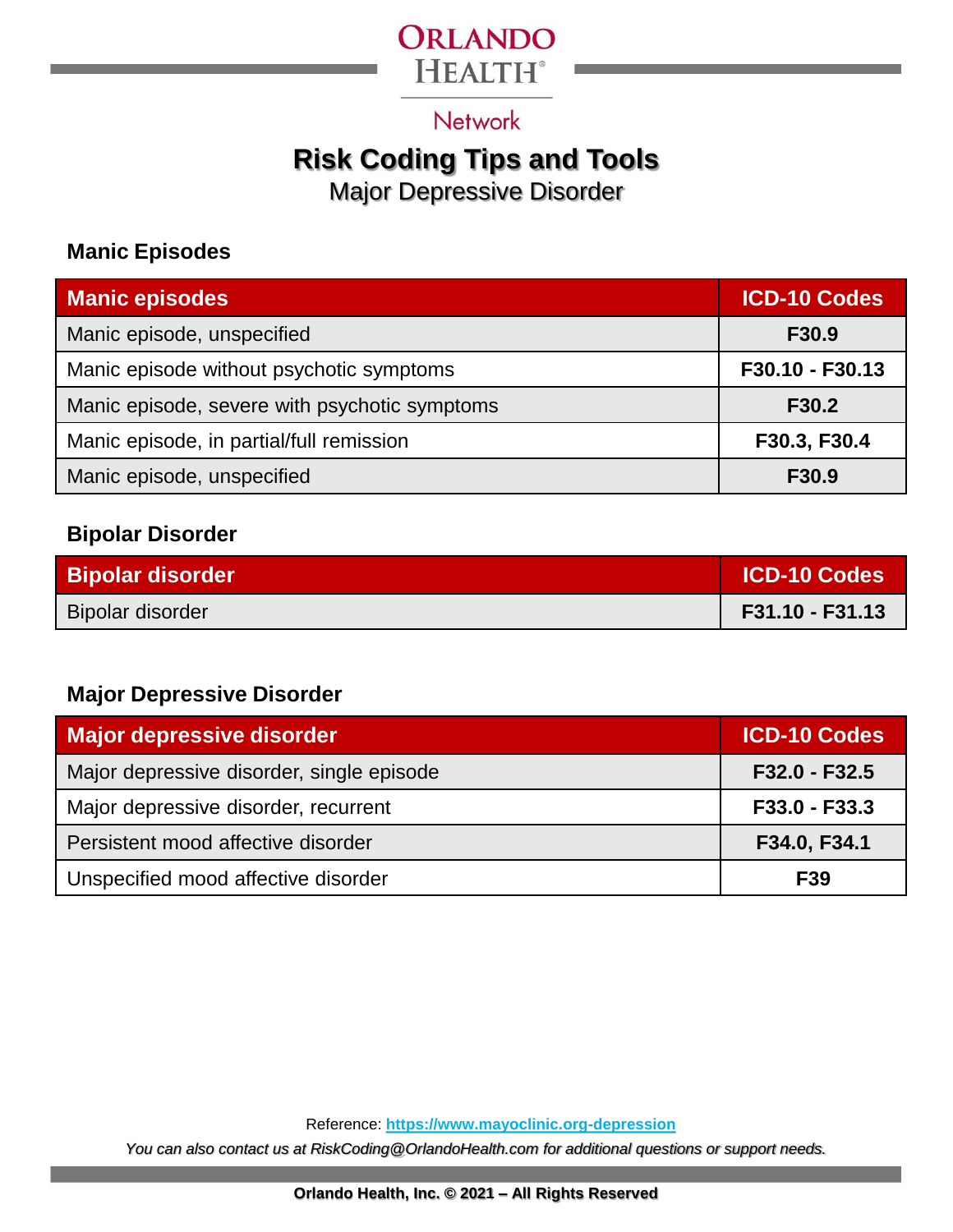### ORLANDO **HEALTH®**

**Network** 

### **Risk Coding Tips and Tools**

Major Depressive Disorder

#### **Manic Episodes**

| <b>Manic episodes</b>                         | <b>ICD-10 Codes</b> |
|-----------------------------------------------|---------------------|
| Manic episode, unspecified                    | F30.9               |
| Manic episode without psychotic symptoms      | F30.10 - F30.13     |
| Manic episode, severe with psychotic symptoms | F30.2               |
| Manic episode, in partial/full remission      | F30.3, F30.4        |
| Manic episode, unspecified                    | F30.9               |

#### **Bipolar Disorder**

| <b>Bipolar disorder</b> | <b>ICD-10 Codes</b> |
|-------------------------|---------------------|
| Bipolar disorder        | F31.10 - F31.13     |

#### **Major Depressive Disorder**

| Major depressive disorder                 | <b>ICD-10 Codes</b> |
|-------------------------------------------|---------------------|
| Major depressive disorder, single episode | F32.0 - F32.5       |
| Major depressive disorder, recurrent      | F33.0 - F33.3       |
| Persistent mood affective disorder        | F34.0, F34.1        |
| Unspecified mood affective disorder       | F <sub>39</sub>     |

Reference: **https://www.mayoclinic.org-depression**

*You can also contact us at RiskCoding@OrlandoHealth.com for additional questions or support needs.*

**Orlando Health, Inc. © 2021 – All Rights Reserved**